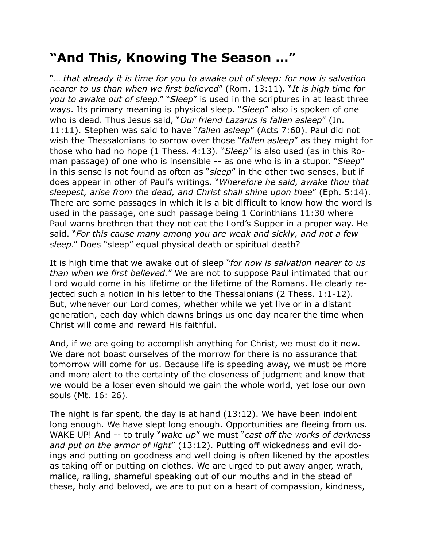## **"And This, Knowing The Season …"**

"… *that already it is time for you to awake out of sleep: for now is salvation nearer to us than when we first believed*" (Rom. 13:11). "*It is high time for you to awake out of sleep*." "*Sleep*" is used in the scriptures in at least three ways. Its primary meaning is physical sleep. "*Sleep*" also is spoken of one who is dead. Thus Jesus said, "*Our friend Lazarus is fallen asleep*" (Jn. 11:11). Stephen was said to have "*fallen asleep*" (Acts 7:60). Paul did not wish the Thessalonians to sorrow over those "*fallen asleep*" as they might for those who had no hope (1 Thess. 4:13). "*Sleep*" is also used (as in this Roman passage) of one who is insensible -- as one who is in a stupor. "*Sleep*" in this sense is not found as often as "*sleep*" in the other two senses, but if does appear in other of Paul's writings. "*Wherefore he said, awake thou that sleepest, arise from the dead, and Christ shall shine upon thee*" (Eph. 5:14). There are some passages in which it is a bit difficult to know how the word is used in the passage, one such passage being 1 Corinthians 11:30 where Paul warns brethren that they not eat the Lord's Supper in a proper way. He said. "*For this cause many among you are weak and sickly, and not a few sleep*." Does "sleep" equal physical death or spiritual death?

It is high time that we awake out of sleep "*for now is salvation nearer to us than when we first believed.*" We are not to suppose Paul intimated that our Lord would come in his lifetime or the lifetime of the Romans. He clearly rejected such a notion in his letter to the Thessalonians (2 Thess. 1:1-12). But, whenever our Lord comes, whether while we yet live or in a distant generation, each day which dawns brings us one day nearer the time when Christ will come and reward His faithful.

And, if we are going to accomplish anything for Christ, we must do it now. We dare not boast ourselves of the morrow for there is no assurance that tomorrow will come for us. Because life is speeding away, we must be more and more alert to the certainty of the closeness of judgment and know that we would be a loser even should we gain the whole world, yet lose our own souls (Mt. 16: 26).

The night is far spent, the day is at hand (13:12). We have been indolent long enough. We have slept long enough. Opportunities are fleeing from us. WAKE UP! And -- to truly "*wake up*" we must "*cast off the works of darkness and put on the armor of light*" (13:12). Putting off wickedness and evil doings and putting on goodness and well doing is often likened by the apostles as taking off or putting on clothes. We are urged to put away anger, wrath, malice, railing, shameful speaking out of our mouths and in the stead of these, holy and beloved, we are to put on a heart of compassion, kindness,